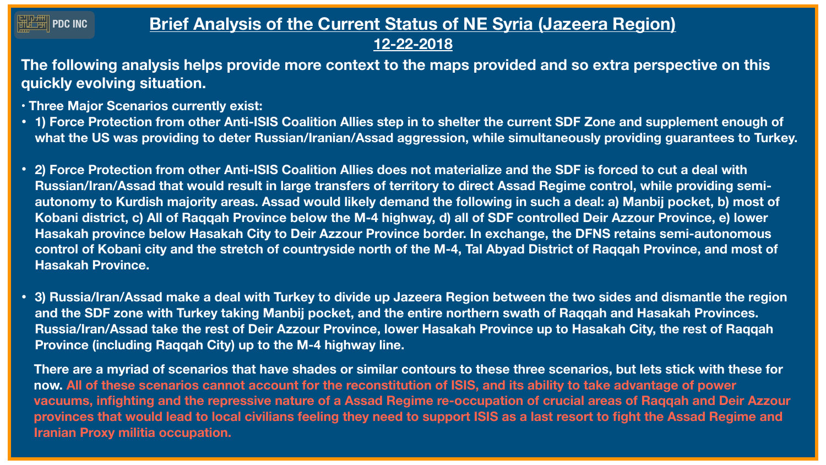## **Brief Analysis of the Current Status of NE Syria (Jazeera Region) 12-22-2018**

**The following analysis helps provide more context to the maps provided and so extra perspective on this quickly evolving situation.** 

**• 1) Force Protection from other Anti-ISIS Coalition Allies step in to shelter the current SDF Zone and supplement enough of what the US was providing to deter Russian/Iranian/Assad aggression, while simultaneously providing guarantees to Turkey.** 

**Russian/Iran/Assad that would result in large transfers of territory to direct Assad Regime control, while providing semiautonomy to Kurdish majority areas. Assad would likely demand the following in such a deal: a) Manbij pocket, b) most of Kobani district, c) All of Raqqah Province below the M-4 highway, d) all of SDF controlled Deir Azzour Province, e) lower Hasakah province below Hasakah City to Deir Azzour Province border. In exchange, the DFNS retains semi-autonomous control of Kobani city and the stretch of countryside north of the M-4, Tal Abyad District of Raqqah Province, and most of** 

- **• Three Major Scenarios currently exist:**
- 
- **• 2) Force Protection from other Anti-ISIS Coalition Allies does not materialize and the SDF is forced to cut a deal with Hasakah Province.**
- **Province (including Raqqah City) up to the M-4 highway line.**

**• 3) Russia/Iran/Assad make a deal with Turkey to divide up Jazeera Region between the two sides and dismantle the region and the SDF zone with Turkey taking Manbij pocket, and the entire northern swath of Raqqah and Hasakah Provinces. Russia/Iran/Assad take the rest of Deir Azzour Province, lower Hasakah Province up to Hasakah City, the rest of Raqqah** 



**There are a myriad of scenarios that have shades or similar contours to these three scenarios, but lets stick with these for now. All of these scenarios cannot account for the reconstitution of ISIS, and its ability to take advantage of power vacuums, infighting and the repressive nature of a Assad Regime re-occupation of crucial areas of Raqqah and Deir Azzour provinces that would lead to local civilians feeling they need to support ISIS as a last resort to fight the Assad Regime and Iranian Proxy militia occupation.** 

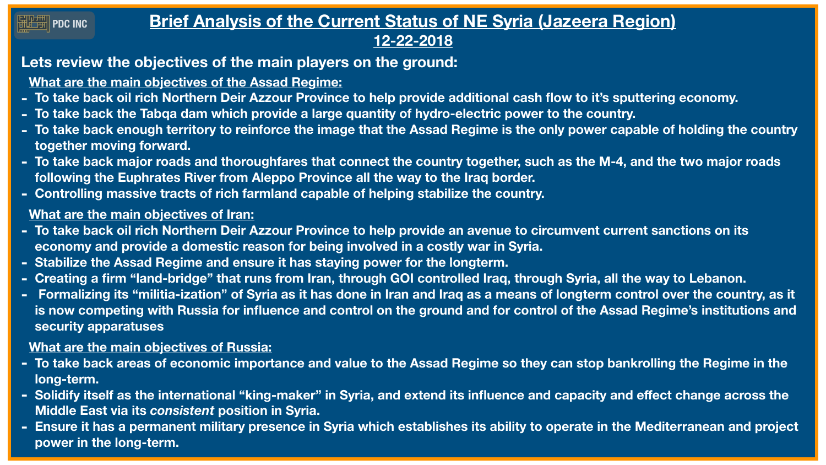## **FRIDAMITY PDC INC**

# **Brief Analysis of the Current Status of NE Syria (Jazeera Region) 12-22-2018**

# **Lets review the objectives of the main players on the ground:**

**What are the main objectives of the Assad Regime:** 

**- To take back enough territory to reinforce the image that the Assad Regime is the only power capable of holding the country** 

- **- To take back oil rich Northern Deir Azzour Province to help provide additional cash flow to it's sputtering economy.**
- **- To take back the Tabqa dam which provide a large quantity of hydro-electric power to the country.**
- **together moving forward.**
- **following the Euphrates River from Aleppo Province all the way to the Iraq border.**
- **- Controlling massive tracts of rich farmland capable of helping stabilize the country.**

**- To take back major roads and thoroughfares that connect the country together, such as the M-4, and the two major roads** 

### **What are the main objectives of Iran:**

- **- To take back oil rich Northern Deir Azzour Province to help provide an avenue to circumvent current sanctions on its economy and provide a domestic reason for being involved in a costly war in Syria.**
- **- Stabilize the Assad Regime and ensure it has staying power for the longterm.**
- **- Creating a firm "land-bridge" that runs from Iran, through GOI controlled Iraq, through Syria, all the way to Lebanon.**
- **security apparatuses**

**- Formalizing its "militia-ization" of Syria as it has done in Iran and Iraq as a means of longterm control over the country, as it is now competing with Russia for influence and control on the ground and for control of the Assad Regime's institutions and** 

### **What are the main objectives of Russia:**

**- To take back areas of economic importance and value to the Assad Regime so they can stop bankrolling the Regime in the** 

**- Solidify itself as the international "king-maker" in Syria, and extend its influence and capacity and effect change across the** 

- **long-term.**
- **Middle East via its** *consistent* **position in Syria.**
- **power in the long-term.**

**- Ensure it has a permanent military presence in Syria which establishes its ability to operate in the Mediterranean and project** 

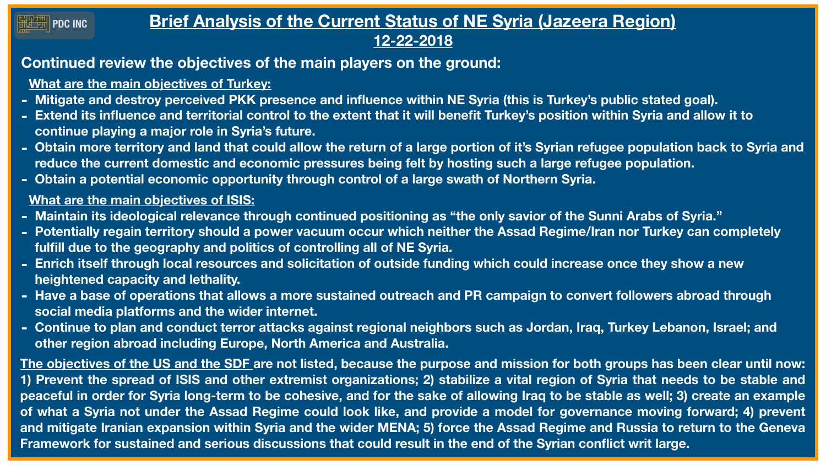# **Brief Analysis of the Current Status of NE Syria (Jazeera Region) 12-22-2018**

# **Continued review the objectives of the main players on the ground:**

**What are the main objectives of Turkey:** 

**- Extend its influence and territorial control to the extent that it will benefit Turkey's position within Syria and allow it to** 

- **- Mitigate and destroy perceived PKK presence and influence within NE Syria (this is Turkey's public stated goal).**
- **continue playing a major role in Syria's future.**
- **reduce the current domestic and economic pressures being felt by hosting such a large refugee population.**
- **- Obtain a potential economic opportunity through control of a large swath of Northern Syria.**

**- Obtain more territory and land that could allow the return of a large portion of it's Syrian refugee population back to Syria and** 

### **What are the main objectives of ISIS:**

**- Potentially regain territory should a power vacuum occur which neither the Assad Regime/Iran nor Turkey can completely** 

- **- Maintain its ideological relevance through continued positioning as "the only savior of the Sunni Arabs of Syria."**
- **fulfill due to the geography and politics of controlling all of NE Syria.**
- **- Enrich itself through local resources and solicitation of outside funding which could increase once they show a new heightened capacity and lethality.**
- **social media platforms and the wider internet.**
- **other region abroad including Europe, North America and Australia.**

**- Have a base of operations that allows a more sustained outreach and PR campaign to convert followers abroad through** 

**- Continue to plan and conduct terror attacks against regional neighbors such as Jordan, Iraq, Turkey Lebanon, Israel; and** 



**The objectives of the US and the SDF are not listed, because the purpose and mission for both groups has been clear until now: 1) Prevent the spread of ISIS and other extremist organizations; 2) stabilize a vital region of Syria that needs to be stable and peaceful in order for Syria long-term to be cohesive, and for the sake of allowing Iraq to be stable as well; 3) create an example of what a Syria not under the Assad Regime could look like, and provide a model for governance moving forward; 4) prevent and mitigate Iranian expansion within Syria and the wider MENA; 5) force the Assad Regime and Russia to return to the Geneva Framework for sustained and serious discussions that could result in the end of the Syrian conflict writ large.**

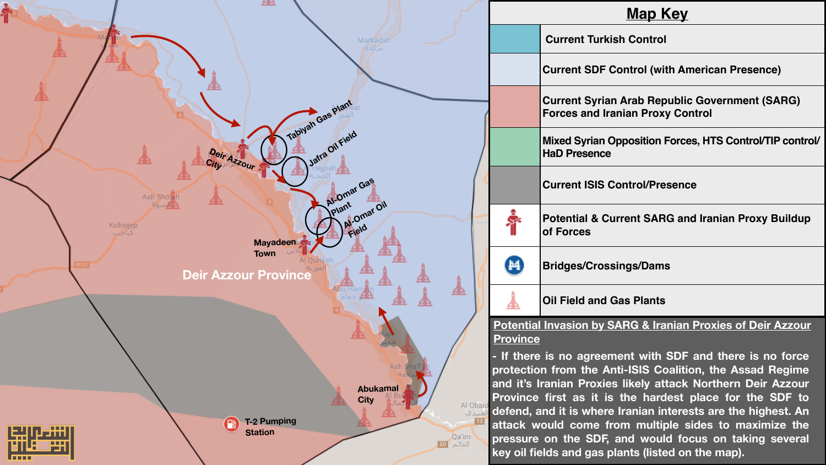|                 | <b>Map Key</b>                                                                                                            |                                                                                                  |  |
|-----------------|---------------------------------------------------------------------------------------------------------------------------|--------------------------------------------------------------------------------------------------|--|
|                 |                                                                                                                           | <b>Current Turkish Control</b>                                                                   |  |
|                 |                                                                                                                           | <b>Current SDF Control (with American Presence)</b>                                              |  |
|                 |                                                                                                                           | <b>Current Syrian Arab Republic Government (SARG)</b><br><b>Forces and Iranian Proxy Control</b> |  |
|                 |                                                                                                                           | Mixed Syrian Opposition Forces, HTS Control/TIP contro<br><b>HaD Presence</b>                    |  |
|                 |                                                                                                                           | <b>Current ISIS Control/Presence</b>                                                             |  |
|                 |                                                                                                                           | <b>Potential &amp; Current SARG and Iranian Proxy Buildup</b><br>of Forces                       |  |
|                 | Ħ                                                                                                                         | <b>Bridges/Crossings/Dams</b>                                                                    |  |
|                 |                                                                                                                           | <b>Oil Field and Gas Plants</b>                                                                  |  |
|                 | <b>Potential Invasion by SARG &amp; Iranian Proxies of Deir Azzour</b>                                                    |                                                                                                  |  |
|                 | <b>Province</b>                                                                                                           |                                                                                                  |  |
|                 | - If there is no agreement with SDF and there is no force                                                                 |                                                                                                  |  |
|                 | protection from the Anti-ISIS Coalition, the Assad Regime                                                                 |                                                                                                  |  |
| าลไ             | and it's Iranian Proxies likely attack Northern Deir Azzour                                                               |                                                                                                  |  |
| Al Obaid        | Province first as it is the hardest place for the SDF to<br>defend, and it is where Iranian interests are the highest. An |                                                                                                  |  |
| العبيدي         |                                                                                                                           |                                                                                                  |  |
|                 | attack would come from multiple sides to maximize the                                                                     |                                                                                                  |  |
| Qa'im<br>القائم | pressure on the SDF, and would focus on taking several                                                                    |                                                                                                  |  |
|                 | key oil fields and gas plants (listed on the map).                                                                        |                                                                                                  |  |



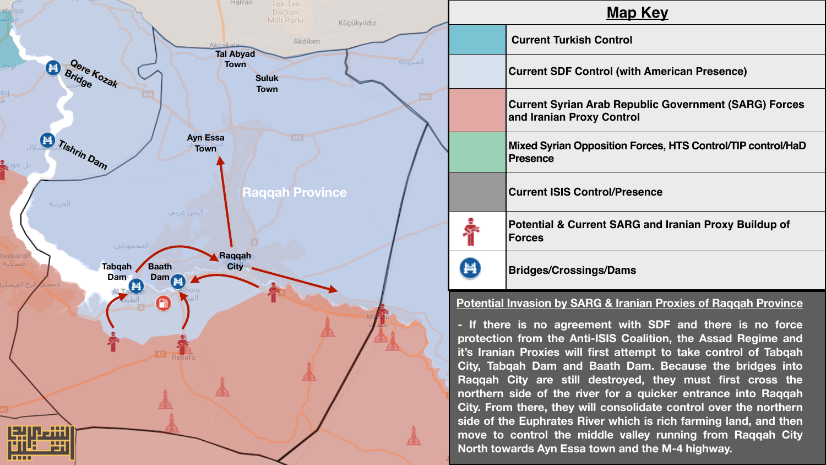| <b>Map Key</b> |
|----------------|
|                |

| <b>Current Turkish Control</b> |  |  |
|--------------------------------|--|--|
|--------------------------------|--|--|

**Current SDF Control (with American Presence)**

**Current Syrian Arab Republic Government (SARG) Forces and Iranian Proxy Control**

**Mixed Syrian Opposition Forces, HTS Control/TIP control/HaD Presence**

**Current ISIS Control/Presence**

**Potential & Current SARG and Iranian Proxy Buildup of Forces**



**Bridges/Crossings/Dams**

#### **Potential Invasion by SARG & Iranian Proxies of Raqqah Province**



**- If there is no agreement with SDF and there is no force protection from the Anti-ISIS Coalition, the Assad Regime and it's Iranian Proxies will first attempt to take control of Tabqah City, Tabqah Dam and Baath Dam. Because the bridges into Raqqah City are still destroyed, they must first cross the northern side of the river for a quicker entrance into Raqqah City. From there, they will consolidate control over the northern side of the Euphrates River which is rich farming land, and then move to control the middle valley running from Raqqah City North towards Ayn Essa town and the M-4 highway.**